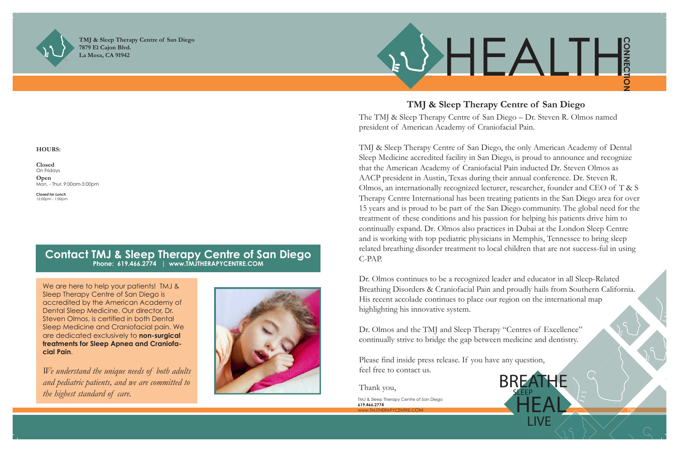



**TMJ & Sleep Therapy Centre of San Diego 7879 El Cajon Blvd. La Mesa, CA 91942**

## **Contact TMJ & Sleep Therapy Centre of San Diego Phone: 619.466.2774 | www.TMJTHERAPYCENTRE.COM**

We are here to help your patients! TMJ & Sleep Therapy Centre of San Diego is accredited by the American Academy of Dental Sleep Medicine. Our director, Dr. Steven Olmos, is certified in both Dental Sleep Medicine and Craniofacial pain. We are dedicated exclusively to **non-surgical treatments for Sleep Apnea and Craniofacial Pain**.

> TMJ & Sleep Therapy Centre of San Diego **619.466.2774**  WWW.TM ITHERAPYCENT

*We understand the unique needs of both adults and pediatric patients, and we are committed to the highest standard of care.* 



#### **HOURS:**

**Closed** On Fridays **Open** Mon. - Thur. 9:00am-5:00pm

*Closed for Lunch 12:00pm - 1:00pm*



# **TMJ & Sleep Therapy Centre of San Diego**

The TMJ & Sleep Therapy Centre of San Diego – Dr. Steven R. Olmos named president of American Academy of Craniofacial Pain.

Dr. Olmos and the TMJ and Sleep Therapy "Centres of Excellence" continually strive to bridge the gap between medicine and dentistry.

TMJ & Sleep Therapy Centre of San Diego, the only American Academy of Dental Sleep Medicine accredited facility in San Diego, is proud to announce and recognize that the American Academy of Craniofacial Pain inducted Dr. Steven Olmos as AACP president in Austin, Texas during their annual conference. Dr. Steven R. Olmos, an internationally recognized lecturer, researcher, founder and CEO of T & S Therapy Centre International has been treating patients in the San Diego area for over 15 years and is proud to be part of the San Diego community. The global need for the treatment of these conditions and his passion for helping his patients drive him to continually expand. Dr. Olmos also practices in Dubai at the London Sleep Centre and is working with top pediatric physicians in Memphis, Tennessee to bring sleep related breathing disorder treatment to local children that are not success-ful in using C-PAP.

Dr. Olmos continues to be a recognized leader and educator in all Sleep-Related Breathing Disorders & Craniofacial Pain and proudly hails from Southern California. His recent accolade continues to place our region on the international map highlighting his innovative system.

Please find inside press release. If you have any question, feel free to contact us.

Thank you,